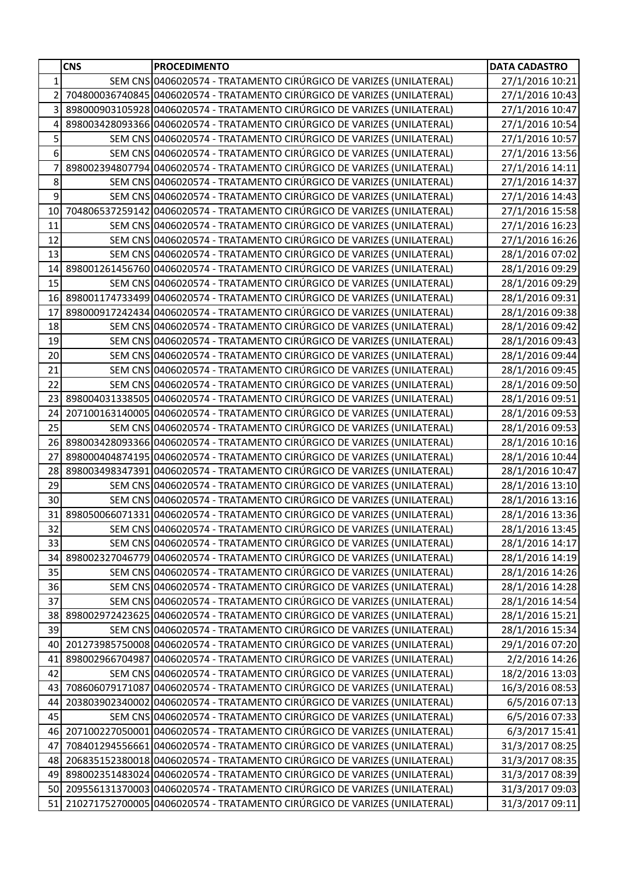|                | <b>CNS</b> | <b>PROCEDIMENTO</b>                                                       | <b>DATA CADASTRO</b> |
|----------------|------------|---------------------------------------------------------------------------|----------------------|
| $\mathbf{1}$   |            | SEM CNS 0406020574 - TRATAMENTO CIRÚRGICO DE VARIZES (UNILATERAL)         | 27/1/2016 10:21      |
| $\overline{2}$ |            | 704800036740845 0406020574 - TRATAMENTO CIRÚRGICO DE VARIZES (UNILATERAL) | 27/1/2016 10:43      |
| $\overline{3}$ |            | 898000903105928 0406020574 - TRATAMENTO CIRÚRGICO DE VARIZES (UNILATERAL) | 27/1/2016 10:47      |
| 4              |            | 898003428093366 0406020574 - TRATAMENTO CIRÚRGICO DE VARIZES (UNILATERAL) | 27/1/2016 10:54      |
| 5              |            | SEM CNS 0406020574 - TRATAMENTO CIRÚRGICO DE VARIZES (UNILATERAL)         | 27/1/2016 10:57      |
| 6              |            | SEM CNS 0406020574 - TRATAMENTO CIRÚRGICO DE VARIZES (UNILATERAL)         | 27/1/2016 13:56      |
| $\overline{7}$ |            | 898002394807794 0406020574 - TRATAMENTO CIRÚRGICO DE VARIZES (UNILATERAL) | 27/1/2016 14:11      |
| 8              |            | SEM CNS 0406020574 - TRATAMENTO CIRÚRGICO DE VARIZES (UNILATERAL)         | 27/1/2016 14:37      |
| $\overline{9}$ |            | SEM CNS 0406020574 - TRATAMENTO CIRÚRGICO DE VARIZES (UNILATERAL)         | 27/1/2016 14:43      |
| 10             |            | 704806537259142 0406020574 - TRATAMENTO CIRÚRGICO DE VARIZES (UNILATERAL) | 27/1/2016 15:58      |
| 11             |            | SEM CNS 0406020574 - TRATAMENTO CIRÚRGICO DE VARIZES (UNILATERAL)         | 27/1/2016 16:23      |
| 12             |            | SEM CNS 0406020574 - TRATAMENTO CIRÚRGICO DE VARIZES (UNILATERAL)         | 27/1/2016 16:26      |
| 13             |            | SEM CNS 0406020574 - TRATAMENTO CIRÚRGICO DE VARIZES (UNILATERAL)         | 28/1/2016 07:02      |
| 14             |            | 898001261456760 0406020574 - TRATAMENTO CIRÚRGICO DE VARIZES (UNILATERAL) | 28/1/2016 09:29      |
| 15             |            | SEM CNS 0406020574 - TRATAMENTO CIRÚRGICO DE VARIZES (UNILATERAL)         | 28/1/2016 09:29      |
| 16             |            | 898001174733499 0406020574 - TRATAMENTO CIRÚRGICO DE VARIZES (UNILATERAL) | 28/1/2016 09:31      |
| 17             |            | 898000917242434 0406020574 - TRATAMENTO CIRÚRGICO DE VARIZES (UNILATERAL) | 28/1/2016 09:38      |
| 18             |            | SEM CNS 0406020574 - TRATAMENTO CIRÚRGICO DE VARIZES (UNILATERAL)         | 28/1/2016 09:42      |
| 19             |            | SEM CNS 0406020574 - TRATAMENTO CIRÚRGICO DE VARIZES (UNILATERAL)         | 28/1/2016 09:43      |
| 20             |            | SEM CNS 0406020574 - TRATAMENTO CIRÚRGICO DE VARIZES (UNILATERAL)         | 28/1/2016 09:44      |
| 21             |            | SEM CNS 0406020574 - TRATAMENTO CIRÚRGICO DE VARIZES (UNILATERAL)         | 28/1/2016 09:45      |
| 22             |            | SEM CNS 0406020574 - TRATAMENTO CIRÚRGICO DE VARIZES (UNILATERAL)         | 28/1/2016 09:50      |
| 23             |            | 898004031338505 0406020574 - TRATAMENTO CIRÚRGICO DE VARIZES (UNILATERAL) | 28/1/2016 09:51      |
| 24             |            | 207100163140005 0406020574 - TRATAMENTO CIRÚRGICO DE VARIZES (UNILATERAL) | 28/1/2016 09:53      |
| 25             |            | SEM CNS 0406020574 - TRATAMENTO CIRÚRGICO DE VARIZES (UNILATERAL)         | 28/1/2016 09:53      |
| 26             |            | 898003428093366 0406020574 - TRATAMENTO CIRÚRGICO DE VARIZES (UNILATERAL) | 28/1/2016 10:16      |
| 27             |            | 898000404874195 0406020574 - TRATAMENTO CIRÚRGICO DE VARIZES (UNILATERAL) | 28/1/2016 10:44      |
| 28             |            | 898003498347391 0406020574 - TRATAMENTO CIRÚRGICO DE VARIZES (UNILATERAL) | 28/1/2016 10:47      |
| 29             |            | SEM CNS 0406020574 - TRATAMENTO CIRÚRGICO DE VARIZES (UNILATERAL)         | 28/1/2016 13:10      |
| 30             |            | SEM CNS 0406020574 - TRATAMENTO CIRÚRGICO DE VARIZES (UNILATERAL)         | 28/1/2016 13:16      |
| 31             |            | 898050066071331 0406020574 - TRATAMENTO CIRÚRGICO DE VARIZES (UNILATERAL) | 28/1/2016 13:36      |
| 32             |            | SEM CNS 0406020574 - TRATAMENTO CIRÚRGICO DE VARIZES (UNILATERAL)         | 28/1/2016 13:45      |
| 33             |            | SEM CNS 0406020574 - TRATAMENTO CIRÚRGICO DE VARIZES (UNILATERAL)         | 28/1/2016 14:17      |
| 34             |            | 898002327046779 0406020574 - TRATAMENTO CIRÚRGICO DE VARIZES (UNILATERAL) | 28/1/2016 14:19      |
| 35             |            | SEM CNS 0406020574 - TRATAMENTO CIRÚRGICO DE VARIZES (UNILATERAL)         | 28/1/2016 14:26      |
| 36             |            | SEM CNS 0406020574 - TRATAMENTO CIRÚRGICO DE VARIZES (UNILATERAL)         | 28/1/2016 14:28      |
| 37             |            | SEM CNS 0406020574 - TRATAMENTO CIRÚRGICO DE VARIZES (UNILATERAL)         | 28/1/2016 14:54      |
| 38             |            | 898002972423625 0406020574 - TRATAMENTO CIRÚRGICO DE VARIZES (UNILATERAL) | 28/1/2016 15:21      |
| 39             |            | SEM CNS 0406020574 - TRATAMENTO CIRÚRGICO DE VARIZES (UNILATERAL)         | 28/1/2016 15:34      |
| 40             |            | 201273985750008 0406020574 - TRATAMENTO CIRÚRGICO DE VARIZES (UNILATERAL) | 29/1/2016 07:20      |
| 41             |            | 898002966704987 0406020574 - TRATAMENTO CIRÚRGICO DE VARIZES (UNILATERAL) | 2/2/2016 14:26       |
| 42             |            | SEM CNS 0406020574 - TRATAMENTO CIRÚRGICO DE VARIZES (UNILATERAL)         | 18/2/2016 13:03      |
| 43             |            | 708606079171087 0406020574 - TRATAMENTO CIRÚRGICO DE VARIZES (UNILATERAL) | 16/3/2016 08:53      |
| 44             |            | 203803902340002 0406020574 - TRATAMENTO CIRÚRGICO DE VARIZES (UNILATERAL) | 6/5/2016 07:13       |
| 45             |            | SEM CNS 0406020574 - TRATAMENTO CIRÚRGICO DE VARIZES (UNILATERAL)         | 6/5/2016 07:33       |
| 46             |            | 207100227050001 0406020574 - TRATAMENTO CIRÚRGICO DE VARIZES (UNILATERAL) | 6/3/2017 15:41       |
| 47             |            | 708401294556661 0406020574 - TRATAMENTO CIRÚRGICO DE VARIZES (UNILATERAL) | 31/3/2017 08:25      |
| 48             |            | 206835152380018 0406020574 - TRATAMENTO CIRÚRGICO DE VARIZES (UNILATERAL) | 31/3/2017 08:35      |
| 49             |            | 898002351483024 0406020574 - TRATAMENTO CIRÚRGICO DE VARIZES (UNILATERAL) | 31/3/2017 08:39      |
| <b>50</b>      |            | 209556131370003 0406020574 - TRATAMENTO CIRÚRGICO DE VARIZES (UNILATERAL) | 31/3/2017 09:03      |
| 51             |            | 210271752700005 0406020574 - TRATAMENTO CIRÚRGICO DE VARIZES (UNILATERAL) | 31/3/2017 09:11      |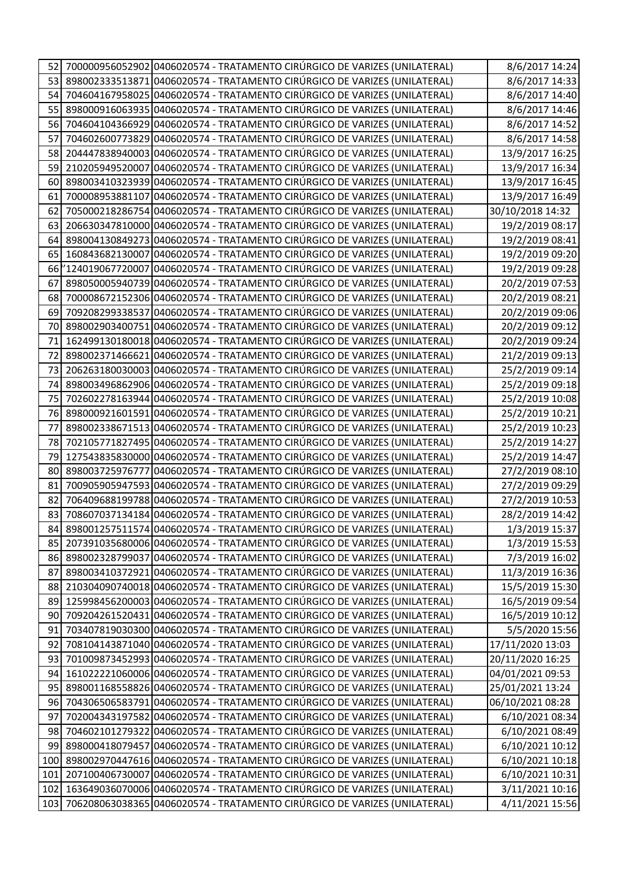| 52  |                 | 700000956052902 0406020574 - TRATAMENTO CIRÚRGICO DE VARIZES (UNILATERAL)     | 8/6/2017 14:24   |
|-----|-----------------|-------------------------------------------------------------------------------|------------------|
| 53  |                 | 898002333513871 0406020574 - TRATAMENTO CIRÚRGICO DE VARIZES (UNILATERAL)     | 8/6/2017 14:33   |
| 54  |                 | 704604167958025 0406020574 - TRATAMENTO CIRÚRGICO DE VARIZES (UNILATERAL)     | 8/6/2017 14:40   |
| 55  |                 | 898000916063935 0406020574 - TRATAMENTO CIRÚRGICO DE VARIZES (UNILATERAL)     | 8/6/2017 14:46   |
| 56  |                 | 704604104366929 0406020574 - TRATAMENTO CIRÚRGICO DE VARIZES (UNILATERAL)     | 8/6/2017 14:52   |
| 57  |                 | 704602600773829 0406020574 - TRATAMENTO CIRÚRGICO DE VARIZES (UNILATERAL)     | 8/6/2017 14:58   |
| 58  |                 | 204447838940003 0406020574 - TRATAMENTO CIRÚRGICO DE VARIZES (UNILATERAL)     | 13/9/2017 16:25  |
| 59  |                 | 210205949520007 0406020574 - TRATAMENTO CIRÚRGICO DE VARIZES (UNILATERAL)     | 13/9/2017 16:34  |
| 60  |                 | 898003410323939 0406020574 - TRATAMENTO CIRÚRGICO DE VARIZES (UNILATERAL)     | 13/9/2017 16:45  |
| 61  |                 | 700008953881107 0406020574 - TRATAMENTO CIRÚRGICO DE VARIZES (UNILATERAL)     | 13/9/2017 16:49  |
| 62  |                 | 705000218286754 0406020574 - TRATAMENTO CIRÚRGICO DE VARIZES (UNILATERAL)     | 30/10/2018 14:32 |
| 63  |                 | 206630347810000 0406020574 - TRATAMENTO CIRÚRGICO DE VARIZES (UNILATERAL)     | 19/2/2019 08:17  |
| 64  |                 | 898004130849273 0406020574 - TRATAMENTO CIRÚRGICO DE VARIZES (UNILATERAL)     | 19/2/2019 08:41  |
| 65  |                 | 160843682130007 0406020574 - TRATAMENTO CIRÚRGICO DE VARIZES (UNILATERAL)     | 19/2/2019 09:20  |
|     |                 | 66 7124019067720007 0406020574 - TRATAMENTO CIRÚRGICO DE VARIZES (UNILATERAL) | 19/2/2019 09:28  |
| 67  |                 | 898050005940739 0406020574 - TRATAMENTO CIRÚRGICO DE VARIZES (UNILATERAL)     | 20/2/2019 07:53  |
| 68  |                 | 700008672152306 0406020574 - TRATAMENTO CIRÚRGICO DE VARIZES (UNILATERAL)     | 20/2/2019 08:21  |
| 69  |                 | 709208299338537 0406020574 - TRATAMENTO CIRÚRGICO DE VARIZES (UNILATERAL)     | 20/2/2019 09:06  |
| 70  |                 | 898002903400751 0406020574 - TRATAMENTO CIRÚRGICO DE VARIZES (UNILATERAL)     | 20/2/2019 09:12  |
| 71  |                 | 162499130180018 0406020574 - TRATAMENTO CIRÚRGICO DE VARIZES (UNILATERAL)     | 20/2/2019 09:24  |
| 72  |                 | 898002371466621 0406020574 - TRATAMENTO CIRÚRGICO DE VARIZES (UNILATERAL)     | 21/2/2019 09:13  |
| 73  |                 | 206263180030003 0406020574 - TRATAMENTO CIRÚRGICO DE VARIZES (UNILATERAL)     | 25/2/2019 09:14  |
| 74  |                 | 898003496862906 0406020574 - TRATAMENTO CIRÚRGICO DE VARIZES (UNILATERAL)     | 25/2/2019 09:18  |
| 75  |                 | 702602278163944 0406020574 - TRATAMENTO CIRÚRGICO DE VARIZES (UNILATERAL)     | 25/2/2019 10:08  |
| 76  |                 | 898000921601591 0406020574 - TRATAMENTO CIRÚRGICO DE VARIZES (UNILATERAL)     | 25/2/2019 10:21  |
| 77  |                 | 898002338671513 0406020574 - TRATAMENTO CIRÚRGICO DE VARIZES (UNILATERAL)     | 25/2/2019 10:23  |
| 78  |                 | 702105771827495 0406020574 - TRATAMENTO CIRÚRGICO DE VARIZES (UNILATERAL)     | 25/2/2019 14:27  |
| 79  |                 | 127543835830000 0406020574 - TRATAMENTO CIRÚRGICO DE VARIZES (UNILATERAL)     | 25/2/2019 14:47  |
| 80  | 898003725976777 | 0406020574 - TRATAMENTO CIRÚRGICO DE VARIZES (UNILATERAL)                     | 27/2/2019 08:10  |
| 81  |                 | 700905905947593 0406020574 - TRATAMENTO CIRÚRGICO DE VARIZES (UNILATERAL)     | 27/2/2019 09:29  |
| 82  |                 | 706409688199788 0406020574 - TRATAMENTO CIRÚRGICO DE VARIZES (UNILATERAL)     | 27/2/2019 10:53  |
| 83  |                 | 708607037134184 0406020574 - TRATAMENTO CIRÚRGICO DE VARIZES (UNILATERAL)     | 28/2/2019 14:42  |
|     |                 | 84 898001257511574 0406020574 - TRATAMENTO CIRÚRGICO DE VARIZES (UNILATERAL)  | 1/3/2019 15:37   |
| 85  |                 | 207391035680006 0406020574 - TRATAMENTO CIRÚRGICO DE VARIZES (UNILATERAL)     | 1/3/2019 15:53   |
| 861 |                 | 898002328799037 0406020574 - TRATAMENTO CIRÚRGICO DE VARIZES (UNILATERAL)     | 7/3/2019 16:02   |
| 87  |                 | 898003410372921 0406020574 - TRATAMENTO CIRÚRGICO DE VARIZES (UNILATERAL)     | 11/3/2019 16:36  |
|     |                 | 88 210304090740018 0406020574 - TRATAMENTO CIRÚRGICO DE VARIZES (UNILATERAL)  | 15/5/2019 15:30  |
| 89  |                 | 125998456200003 0406020574 - TRATAMENTO CIRÚRGICO DE VARIZES (UNILATERAL)     | 16/5/2019 09:54  |
| 90  |                 | 709204261520431 0406020574 - TRATAMENTO CIRÚRGICO DE VARIZES (UNILATERAL)     | 16/5/2019 10:12  |
| 91  |                 | 703407819030300 0406020574 - TRATAMENTO CIRÚRGICO DE VARIZES (UNILATERAL)     | 5/5/2020 15:56   |
| 92  |                 | 708104143871040 0406020574 - TRATAMENTO CIRÚRGICO DE VARIZES (UNILATERAL)     | 17/11/2020 13:03 |
| 93  |                 | 701009873452993 0406020574 - TRATAMENTO CIRÚRGICO DE VARIZES (UNILATERAL)     | 20/11/2020 16:25 |
| 94  |                 | 161022221060006 0406020574 - TRATAMENTO CIRÚRGICO DE VARIZES (UNILATERAL)     | 04/01/2021 09:53 |
| 95  |                 | 898001168558826 0406020574 - TRATAMENTO CIRÚRGICO DE VARIZES (UNILATERAL)     | 25/01/2021 13:24 |
| 96  |                 | 704306506583791 0406020574 - TRATAMENTO CIRÚRGICO DE VARIZES (UNILATERAL)     | 06/10/2021 08:28 |
| 97  |                 | 702004343197582 0406020574 - TRATAMENTO CIRÚRGICO DE VARIZES (UNILATERAL)     | 6/10/2021 08:34  |
| 98  |                 | 704602101279322 0406020574 - TRATAMENTO CIRÚRGICO DE VARIZES (UNILATERAL)     | 6/10/2021 08:49  |
| 991 |                 | 898000418079457 0406020574 - TRATAMENTO CIRÚRGICO DE VARIZES (UNILATERAL)     | 6/10/2021 10:12  |
| 100 |                 | 898002970447616 0406020574 - TRATAMENTO CIRÚRGICO DE VARIZES (UNILATERAL)     | 6/10/2021 10:18  |
| 101 |                 | 207100406730007 0406020574 - TRATAMENTO CIRÚRGICO DE VARIZES (UNILATERAL)     | 6/10/2021 10:31  |
| 102 |                 | 163649036070006 0406020574 - TRATAMENTO CIRÚRGICO DE VARIZES (UNILATERAL)     | 3/11/2021 10:16  |
| 103 |                 | 706208063038365 0406020574 - TRATAMENTO CIRÚRGICO DE VARIZES (UNILATERAL)     | 4/11/2021 15:56  |